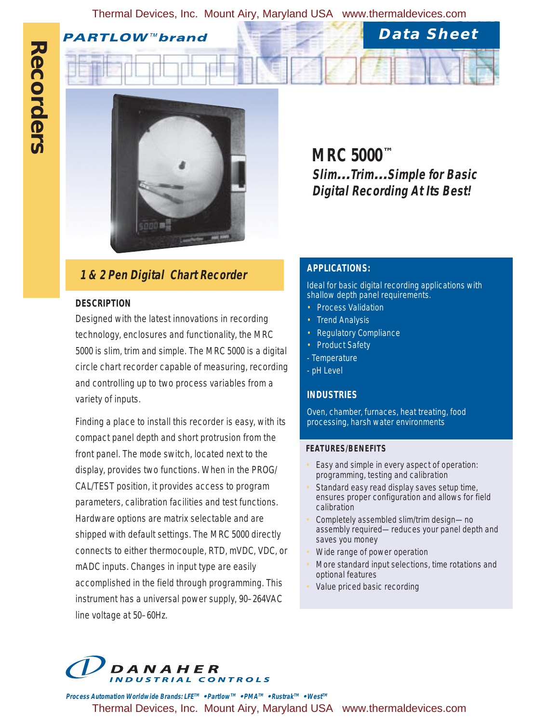Thermal Devices, Inc. Mount Airy, Maryland USA www.thermaldevices.com

**PARTLOW™brand** 



# **1 & 2 Pen Digital Chart Recorder <b>APPLICATIONS:**

# **DESCRIPTION**

Designed with the latest innovations in recording technology, enclosures and functionality, the MRC 5000 is slim, trim and simple. The MRC 5000 is a digital circle chart recorder capable of measuring, recording and controlling up to two process variables from a variety of inputs.

Finding a place to install this recorder is easy, with its compact panel depth and short protrusion from the front panel. The mode switch, located next to the display, provides two functions. When in the PROG/ CAL/TEST position, it provides access to program parameters, calibration facilities and test functions. Hardware options are matrix selectable and are shipped with default settings. The MRC 5000 directly connects to either thermocouple, RTD, mVDC, VDC, or mADC inputs. Changes in input type are easily accomplished in the field through programming. This instrument has a universal power supply, 90–264VAC line voltage at 50–60Hz.

**MRC 5000™ Slim…Trim…Simple for Basic Digital Recording At Its Best!**

**Data Sheet**

Ideal for basic digital recording applications with shallow depth panel requirements.

- Process Validation
- **Trend Analysis**
- Regulatory Compliance
- Product Safety
- Temperature
- pH Level

# **INDUSTRIES**

Oven, chamber, furnaces, heat treating, food processing, harsh water environments

### **FEATURES/BENEFITS**

- Easy and simple in every aspect of operation: programming, testing and calibration
- Standard easy read display saves setup time, ensures proper configuration and allows for field calibration
- Completely assembled slim/trim design—no assembly required—reduces your panel depth and saves you money
- Wide range of power operation
- More standard input selections, time rotations and optional features
- Value priced basic recording



**Process Automation Worldwide Brands: LFETM • PartlowTM • PMATM • RustrakTM • WestTM** Thermal Devices, Inc. Mount Airy, Maryland USA www.thermaldevices.com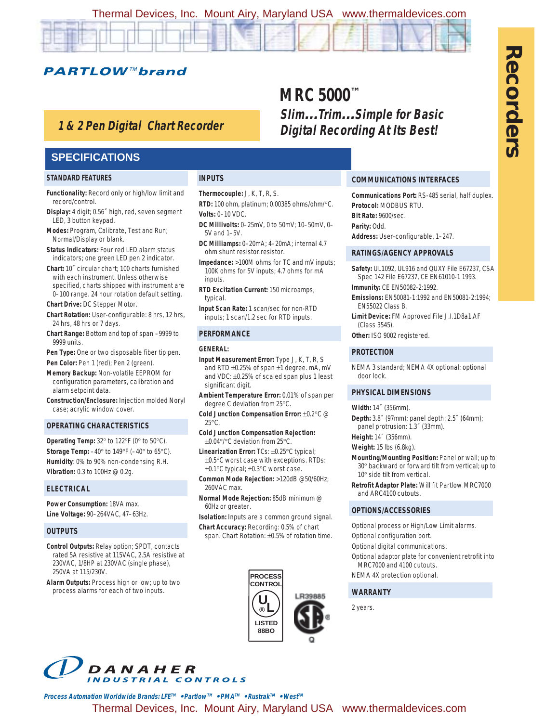Thermal Devices, Inc. Mount Airy, Maryland USA www.thermaldevices.com

**PARTLOW™brand** 

# **1 & 2 Pen Digital Chart Recorder**

**INPUTS**

**Volts:** 0–10 VDC.

5V and 1–5V.

inputs.

typical.

**GENERAL:**

25°C.

260VAC max.

60Hz or greater.

**PERFORMANCE**

significant digit.

**Thermocouple:** J, K, T, R, S.

ohm shunt resistor.resistor.

**RTD:** 100 ohm, platinum; 0.00385 ohms/ohm/°C.

**DC Millivolts:** 0–25mV, 0 to 50mV; 10–50mV, 0–

**DC Milliamps:** 0–20mA; 4–20mA; internal 4.7

**RTD Excitation Current:** 150 microamps,

**Input Scan Rate:** 1 scan/sec for non-RTD inputs; 1 scan/1.2 sec for RTD inputs.

**Input Measurement Error:** Type J, K, T, R, S and RTD ±0.25% of span ±1 degree. mA, mV and VDC: ±0.25% of scaled span plus 1 least

**Ambient Temperature Error:** 0.01% of span per

**Cold Junction Compensation Error:** ±0.2°C @

**Cold Junction Compensation Rejection:** ±0.04°/°C deviation from 25°C. **Linearization Error:** TCs: ±0.25°C typical; ±0.5°C worst case with exceptions. RTDs: ±0.1°C typical; ±0.3°C worst case. **Common Mode Rejection:** >120dB @50/60Hz;

**Normal Mode Rejection:** 85dB minimum @

**Isolation:** Inputs are a common ground signal. **Chart Accuracy:** Recording: 0.5% of chart span. Chart Rotation: ±0.5% of rotation time.

> **PROCESS CONTROL**

> > LR39885

**LISTED 88BO**

**U ® L**

degree C deviation from 25°C.

**Impedance:** >100M ohms for TC and mV inputs; 100K ohms for 5V inputs; 4.7 ohms for mA

## **SPECIFICATIONS**

### **STANDARD FEATURES**

- **Functionality:** Record only or high/low limit and record/control.
- **Display:** 4 digit; 0.56˝ high, red, seven segment LED, 3 button keypad.
- **Modes:** Program, Calibrate, Test and Run; Normal/Display or blank.
- **Status Indicators:** Four red LED alarm status indicators; one green LED pen 2 indicator.
- **Chart:** 10˝ circular chart; 100 charts furnished with each instrument. Unless otherwise specified, charts shipped with instrument are 0–100 range. 24 hour rotation default setting.

**Chart Drive:** DC Stepper Motor.

- **Chart Rotation:** User-configurable: 8 hrs, 12 hrs, 24 hrs, 48 hrs or 7 days.
- **Chart Range:** Bottom and top of span –9999 to 9999 units.
- **Pen Type:** One or two disposable fiber tip pen. Pen Color: Pen 1 (red); Pen 2 (green).
- **Memory Backup:** Non-volatile EEPROM for configuration parameters, calibration and alarm setpoint data.
- **Construction/Enclosure:** Injection molded Noryl case; acrylic window cover.

### **OPERATING CHARACTERISTICS**

**Operating Temp:** 32° to 122°F (0° to 50°C). **Storage Temp:** –40° to 149°F (–40° to 65°C). **Humidity**: 0% to 90% non-condensing R.H. **Vibration:** 0.3 to 100Hz @ 0.2g.

### **ELECTRICAL**

**Power Consumption:** 18VA max. **Line Voltage:** 90–264VAC, 47–63Hz.

### **OUTPUTS**

**Control Outputs:** Relay option; SPDT, contacts rated 5A resistive at 115VAC, 2.5A resistive at 230VAC, 1/8HP at 230VAC (single phase), 250VA at 115/230V.

**Alarm Outputs:** Process high or low; up to two process alarms for each of two inputs.

# **MRC 5000™ Slim…Trim…Simple for Basic Digital Recording At Its Best!**

### **COMMUNICATIONS INTERFACES**

**Communications Port:** RS-485 serial, half duplex. **Protocol:** MODBUS RTU. **Bit Rate:** 9600/sec. **Parity:** Odd.

**Address:** User-configurable, 1–247.

### **RATINGS/AGENCY APPROVALS**

- **Safety:** UL1092, UL916 and QUXY File E67237, CSA Spec 142 File E67237, CE EN61010-1 1993.
- **Immunity:** CE EN50082-2:1992.
- **Emissions:** EN50081-1:1992 and EN50081-2:1994; EN55022 Class B.

**Limit Device:** FM Approved File J.I.1D8a1.AF (Class 3545).

**Other:** ISO 9002 registered.

### **PROTECTION**

NEMA 3 standard; NEMA 4X optional; optional door lock.

### **PHYSICAL DIMENSIONS**

#### **Width:** 14˝ (356mm).

**Depth:** 3.8˝ (97mm); panel depth: 2.5˝ (64mm); panel protrusion: 1.3˝ (33mm).

**Height:** 14˝ (356mm).

### **Weight:** 15 lbs (6.8kg).

- **Mounting/Mounting Position:** Panel or wall; up to 30° backward or forward tilt from vertical; up to 10° side tilt from vertical.
- **Retrofit Adaptor Plate:** Will fit Partlow MRC7000 and ARC4100 cutouts.

### **OPTIONS/ACCESSORIES**

Optional process or High/Low Limit alarms.

- Optional configuration port.
- Optional digital communications.
- Optional adaptor plate for convenient retrofit into MRC7000 and 4100 cutouts.
- NEMA 4X protection optional.

### **WARRANTY**

2 years.



**Process Automation Worldwide Brands: LFETM • PartlowTM • PMATM • RustrakTM • WestTM** Thermal Devices, Inc. Mount Airy, Maryland USA www.thermaldevices.com **Recorders Recorders**